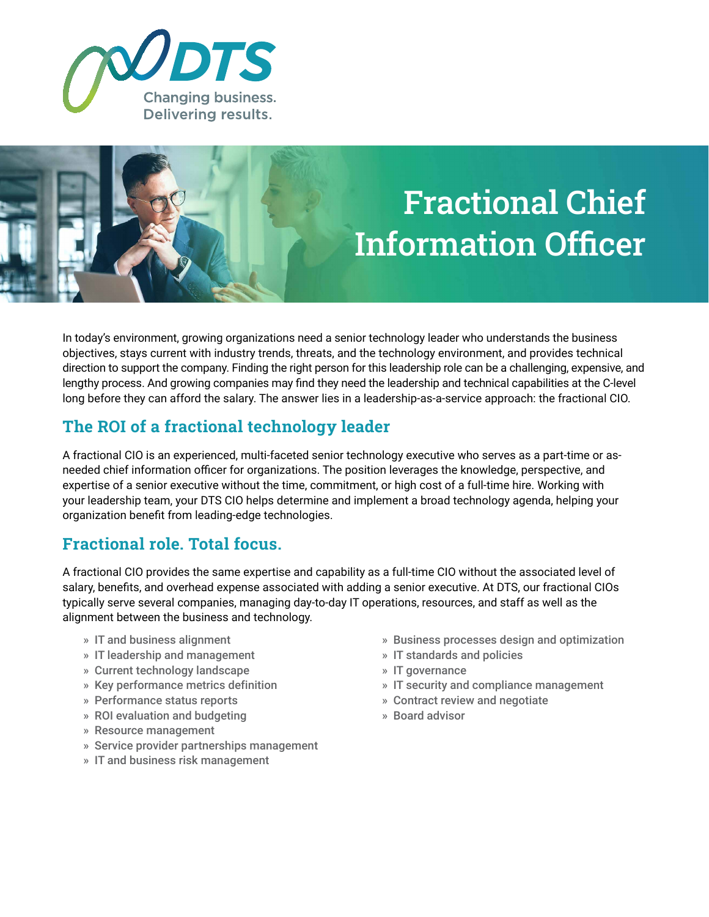

# Fractional Chief Information Officer

In today's environment, growing organizations need a senior technology leader who understands the business objectives, stays current with industry trends, threats, and the technology environment, and provides technical direction to support the company. Finding the right person for this leadership role can be a challenging, expensive, and lengthy process. And growing companies may find they need the leadership and technical capabilities at the C-level long before they can afford the salary. The answer lies in a leadership-as-a-service approach: the fractional CIO.

## **The ROI of a fractional technology leader**

A fractional CIO is an experienced, multi-faceted senior technology executive who serves as a part-time or asneeded chief information officer for organizations. The position leverages the knowledge, perspective, and expertise of a senior executive without the time, commitment, or high cost of a full-time hire. Working with your leadership team, your DTS CIO helps determine and implement a broad technology agenda, helping your organization benefit from leading-edge technologies.

### **Fractional role. Total focus.**

A fractional CIO provides the same expertise and capability as a full-time CIO without the associated level of salary, benefits, and overhead expense associated with adding a senior executive. At DTS, our fractional CIOs typically serve several companies, managing day-to-day IT operations, resources, and staff as well as the alignment between the business and technology.

- » IT and business alignment
- » IT leadership and management
- » Current technology landscape
- » Key performance metrics definition
- » Performance status reports
- » ROI evaluation and budgeting
- » Resource management
- » Service provider partnerships management
- » IT and business risk management
- » Business processes design and optimization
- » IT standards and policies
- » IT governance
- » IT security and compliance management
- » Contract review and negotiate
- » Board advisor